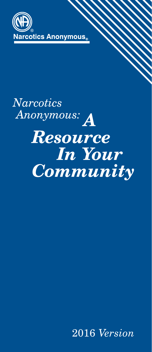

# **Narcotics** Anonymous: A **Resource In Your Community**

2016 *Version*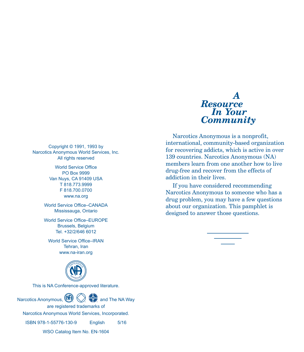#### Copyright © 1991, 1993 by Narcotics Anonymous World Services, Inc. All rights reserved

World Service Office PO Box 9999 Van Nuys, CA 91409 USA T 818.773.9999 F 818.700.0700 www.na.org

World Service Office–CANADA Mississauga, Ontario

World Service Office–EUROPE Brussels, Belgium Tel. +32/2/646 6012

World Service Office–IRAN Tehran, Iran www.na-iran.org



This is NA Conference-approved literature.



ISBN 978-1-55776-130-9 English 5/16

WSO Catalog Item No. EN-1604

## *A Resource In Your Community*

Narcotics Anonymous is a nonprofit, international, community-based organization for recovering addicts, which is active in over 139 countries. Narcotics Anonymous (NA) members learn from one another how to live drug-free and recover from the effects of addiction in their lives.

If you have considered recommending Narcotics Anonymous to someone who has a drug problem, you may have a few questions about our organization. This pamphlet is designed to answer those questions.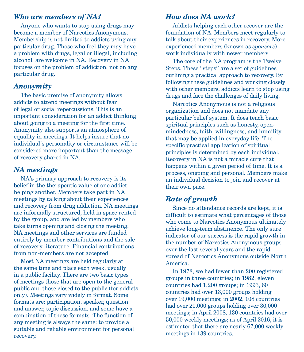### *Who are members of NA?*

Anyone who wants to stop using drugs may become a member of Narcotics Anonymous. Membership is not limited to addicts using any particular drug. Those who feel they may have a problem with drugs, legal or illegal, including alcohol, are welcome in NA. Recovery in NA focuses on the problem of addiction, not on any particular drug.

#### *Anonymity*

The basic premise of anonymity allows addicts to attend meetings without fear of legal or social repercussions. This is an important consideration for an addict thinking about going to a meeting for the first time. Anonymity also supports an atmosphere of equality in meetings. It helps insure that no individual's personality or circumstance will be considered more important than the message of recovery shared in NA.

#### *NA meetings*

NA's primary approach to recovery is its belief in the therapeutic value of one addict helping another. Members take part in NA meetings by talking about their experiences and recovery from drug addiction. NA meetings are informally structured, held in space rented by the group, and are led by members who take turns opening and closing the meeting. NA meetings and other services are funded entirely by member contributions and the sale of recovery literature. Financial contributions from non-members are not accepted.

Most NA meetings are held regularly at the same time and place each week, usually in a public facility. There are two basic types of meetings those that are open to the general public and those closed to the public (for addicts only). Meetings vary widely in format. Some formats are: participation, speaker, question and answer, topic discussion, and some have a combination of these formats. The function of any meeting is always the same: to provide a suitable and reliable environment for personal recovery.

#### *How does NA work?*

Addicts helping each other recover are the foundation of NA. Members meet regularly to talk about their experiences in recovery. More experienced members (known as *sponsors*) work individually with newer members.

The core of the NA program is the Twelve Steps. These "steps" are a set of guidelines outlining a practical approach to recovery. By following these guidelines and working closely with other members, addicts learn to stop using drugs and face the challenges of daily living.

Narcotics Anonymous is not a religious organization and does not mandate any particular belief system. It does teach basic spiritual principles such as honesty, openmindedness, faith, willingness, and humility that may be applied in everyday life. The specific practical application of spiritual principles is determined by each individual. Recovery in NA is not a miracle cure that happens within a given period of time. It is a process, ongoing and personal. Members make an individual decision to join and recover at their own pace.

#### *Rate of growth*

Since no attendance records are kept, it is difficult to estimate what percentages of those who come to Narcotics Anonymous ultimately achieve long-term abstinence. The only sure indicator of our success is the rapid growth in the number of Narcotics Anonymous groups over the last several years and the rapid spread of Narcotics Anonymous outside North America.

In 1978, we had fewer than 200 registered groups in three countries; in 1982, eleven countries had 1,200 groups; in 1993, 60 countries had over 13,000 groups holding over 19,000 meetings; in 2002, 108 countries had over 20,000 groups holding over 30,000 meetings; in April 2008, 130 countries had over 50,000 weekly meetings; as of April 2016, it is estimated that there are nearly 67,000 weekly meetings in 139 countries.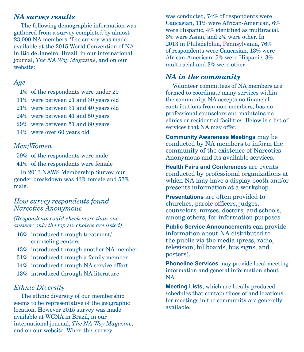#### *NA survey results*

The following demographic information was gathered from a survey completed by almost 23,000 NA members. The survey was made available at the 2015 World Convention of NA in Rio de Janeiro, Brazil, in our international journal, *The NA Way Magazine*, and on our website:

#### *Age*

- 1% of the respondents were under 20
- 11% were between 21 and 30 years old
- 21% were between 31 and 40 years old
- 24% were between 41 and 50 years
- 29% were between 51 and 60 years
- 14% were over 60 years old

#### *Men/Women*

59% of the respondents were male

41% of the respondents were female

In 2013 NAWS Membership Survey, our gender breakdown was 43% female and 57% male.

#### *How survey respondents found Narcotics Anonymous*

*(Respondents could check more than one answer; only the top six choices are listed)*

- 46% introduced through treatment/ counseling centers
- 43% introduced through another NA member
- 31% introduced through a family member
- 14% introduced through NA service effort
- 13% introduced through NA literature

#### *Ethnic Diversity*

The ethnic diversity of our membership seems to be representative of the geographic location. However 2015 survey was made available at WCNA in Brazil, in our international journal, *The NA Way Magazine*, and on our website. When this survey

was conducted, 74% of respondents were Caucasian, 11% were African-American, 6% were Hispanic, 4% identified as multiracial, 3% were Asian, and 2% were other. In 2013 in Philadelphia, Pennsylvania, 76% of respondents were Caucasian, 13% were African-American, 5% were Hispanic, 3% multiracial and 3% were other.

#### *NA in the community*

Volunteer committees of NA members are formed to coordinate many services within the community. NA accepts no financial contributions from non-members, has no professional counselors and maintains no clinics or residential facilities. Below is a list of services that NA may offer.

**Community Awareness Meetings** may be conducted by NA members to inform the community of the existence of Narcotics Anonymous and its available services.

**Health Fairs and Conferences** are events conducted by professional organizations at which NA may have a display booth and/or presents information at a workshop.

**Presentations** are often provided to churches, parole officers, judges, counselors, nurses, doctors, and schools, among others, for information purposes.

**Public Service Announcements** can provide information about NA distributed to the public via the media (press, radio, television, billboards, bus signs, and posters).

**Phoneline Services** may provide local meeting information and general information about NA.

**Meeting Lists**, which are locally produced schedules that contain times of and locations for meetings in the community are generally available.